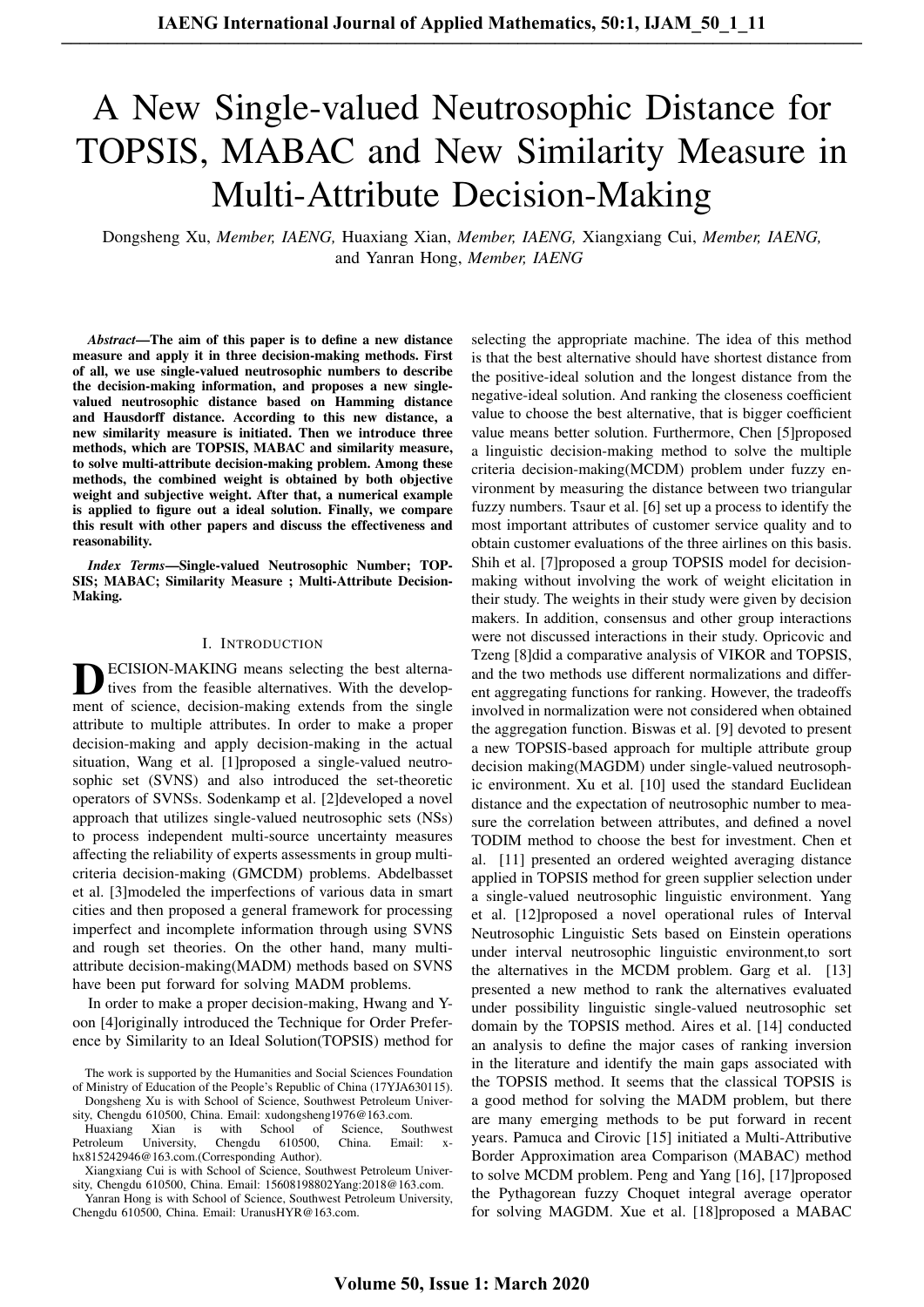# A New Single-valued Neutrosophic Distance for TOPSIS, MABAC and New Similarity Measure in Multi-Attribute Decision-Making

Dongsheng Xu, *Member, IAENG,* Huaxiang Xian, *Member, IAENG,* Xiangxiang Cui, *Member, IAENG,* and Yanran Hong, *Member, IAENG*

*Abstract*—The aim of this paper is to define a new distance measure and apply it in three decision-making methods. First of all, we use single-valued neutrosophic numbers to describe the decision-making information, and proposes a new singlevalued neutrosophic distance based on Hamming distance and Hausdorff distance. According to this new distance, a new similarity measure is initiated. Then we introduce three methods, which are TOPSIS, MABAC and similarity measure, to solve multi-attribute decision-making problem. Among these methods, the combined weight is obtained by both objective weight and subjective weight. After that, a numerical example is applied to figure out a ideal solution. Finally, we compare this result with other papers and discuss the effectiveness and reasonability.

*Index Terms*—Single-valued Neutrosophic Number; TOP-SIS; MABAC; Similarity Measure ; Multi-Attribute Decision-Making.

## I. INTRODUCTION

**D** ECISION-MAKING means selecting the best alternatives from the feasible alternatives. With the development of science, decision-making extends from the single ECISION-MAKING means selecting the best alternatives from the feasible alternatives. With the developattribute to multiple attributes. In order to make a proper decision-making and apply decision-making in the actual situation, Wang et al. [1]proposed a single-valued neutrosophic set (SVNS) and also introduced the set-theoretic operators of SVNSs. Sodenkamp et al. [2]developed a novel approach that utilizes single-valued neutrosophic sets (NSs) to process independent multi-source uncertainty measures affecting the reliability of experts assessments in group multicriteria decision-making (GMCDM) problems. Abdelbasset et al. [3]modeled the imperfections of various data in smart cities and then proposed a general framework for processing imperfect and incomplete information through using SVNS and rough set theories. On the other hand, many multiattribute decision-making(MADM) methods based on SVNS have been put forward for solving MADM problems.

In order to make a proper decision-making, Hwang and Yoon [4]originally introduced the Technique for Order Preference by Similarity to an Ideal Solution(TOPSIS) method for

Dongsheng Xu is with School of Science, Southwest Petroleum University, Chengdu 610500, China. Email: xudongsheng1976@163.com.

Huaxiang Xian is with School of Science, Southwest<br>etroleum University, Chengdu 610500, China, Email: x-Petroleum University, Chengdu 610500, China. Email: xhx815242946@163.com.(Corresponding Author).

selecting the appropriate machine. The idea of this method is that the best alternative should have shortest distance from the positive-ideal solution and the longest distance from the negative-ideal solution. And ranking the closeness coefficient value to choose the best alternative, that is bigger coefficient value means better solution. Furthermore, Chen [5]proposed a linguistic decision-making method to solve the multiple criteria decision-making(MCDM) problem under fuzzy environment by measuring the distance between two triangular fuzzy numbers. Tsaur et al. [6] set up a process to identify the most important attributes of customer service quality and to obtain customer evaluations of the three airlines on this basis. Shih et al. [7]proposed a group TOPSIS model for decisionmaking without involving the work of weight elicitation in their study. The weights in their study were given by decision makers. In addition, consensus and other group interactions were not discussed interactions in their study. Opricovic and Tzeng [8]did a comparative analysis of VIKOR and TOPSIS, and the two methods use different normalizations and different aggregating functions for ranking. However, the tradeoffs involved in normalization were not considered when obtained the aggregation function. Biswas et al. [9] devoted to present a new TOPSIS-based approach for multiple attribute group decision making(MAGDM) under single-valued neutrosophic environment. Xu et al. [10] used the standard Euclidean distance and the expectation of neutrosophic number to measure the correlation between attributes, and defined a novel TODIM method to choose the best for investment. Chen et al. [11] presented an ordered weighted averaging distance applied in TOPSIS method for green supplier selection under a single-valued neutrosophic linguistic environment. Yang et al. [12]proposed a novel operational rules of Interval Neutrosophic Linguistic Sets based on Einstein operations under interval neutrosophic linguistic environment,to sort the alternatives in the MCDM problem. Garg et al. [13] presented a new method to rank the alternatives evaluated under possibility linguistic single-valued neutrosophic set domain by the TOPSIS method. Aires et al. [14] conducted an analysis to define the major cases of ranking inversion in the literature and identify the main gaps associated with the TOPSIS method. It seems that the classical TOPSIS is a good method for solving the MADM problem, but there are many emerging methods to be put forward in recent years. Pamuca and Cirovic [15] initiated a Multi-Attributive Border Approximation area Comparison (MABAC) method to solve MCDM problem. Peng and Yang [16], [17]proposed the Pythagorean fuzzy Choquet integral average operator for solving MAGDM. Xue et al. [18]proposed a MABAC

The work is supported by the Humanities and Social Sciences Foundation of Ministry of Education of the People's Republic of China (17YJA630115).

Xiangxiang Cui is with School of Science, Southwest Petroleum University, Chengdu 610500, China. Email: 15608198802Yang:2018@163.com.

Yanran Hong is with School of Science, Southwest Petroleum University, Chengdu 610500, China. Email: UranusHYR@163.com.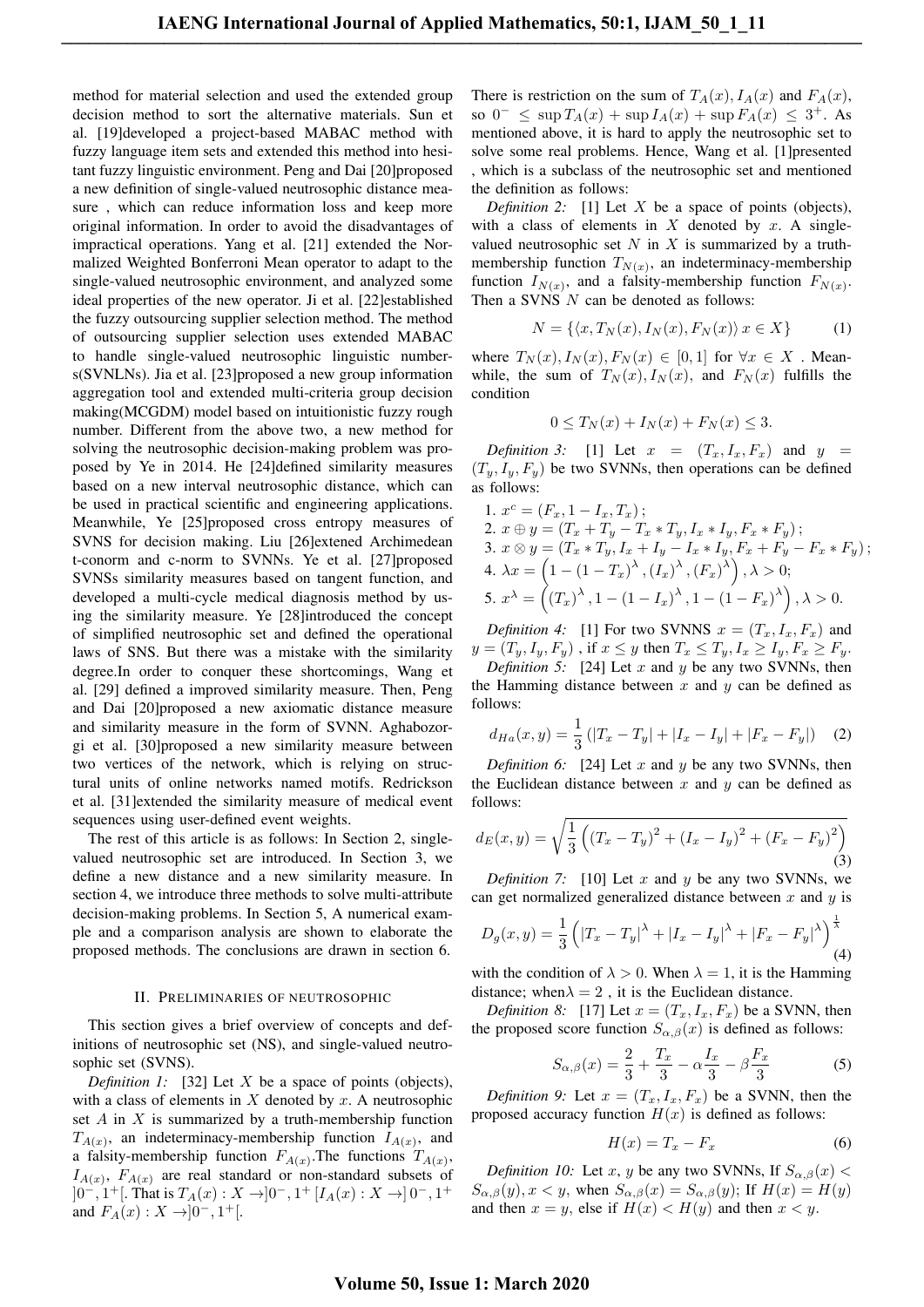method for material selection and used the extended group decision method to sort the alternative materials. Sun et al. [19]developed a project-based MABAC method with fuzzy language item sets and extended this method into hesitant fuzzy linguistic environment. Peng and Dai [20]proposed a new definition of single-valued neutrosophic distance measure , which can reduce information loss and keep more original information. In order to avoid the disadvantages of impractical operations. Yang et al. [21] extended the Normalized Weighted Bonferroni Mean operator to adapt to the single-valued neutrosophic environment, and analyzed some ideal properties of the new operator. Ji et al. [22]established the fuzzy outsourcing supplier selection method. The method of outsourcing supplier selection uses extended MABAC to handle single-valued neutrosophic linguistic numbers(SVNLNs). Jia et al. [23]proposed a new group information aggregation tool and extended multi-criteria group decision making(MCGDM) model based on intuitionistic fuzzy rough number. Different from the above two, a new method for solving the neutrosophic decision-making problem was proposed by Ye in 2014. He [24]defined similarity measures based on a new interval neutrosophic distance, which can be used in practical scientific and engineering applications. Meanwhile, Ye [25]proposed cross entropy measures of SVNS for decision making. Liu [26]extened Archimedean t-conorm and c-norm to SVNNs. Ye et al. [27]proposed SVNSs similarity measures based on tangent function, and developed a multi-cycle medical diagnosis method by using the similarity measure. Ye [28]introduced the concept of simplified neutrosophic set and defined the operational laws of SNS. But there was a mistake with the similarity degree.In order to conquer these shortcomings, Wang et al. [29] defined a improved similarity measure. Then, Peng and Dai [20]proposed a new axiomatic distance measure and similarity measure in the form of SVNN. Aghabozorgi et al. [30]proposed a new similarity measure between two vertices of the network, which is relying on structural units of online networks named motifs. Redrickson et al. [31]extended the similarity measure of medical event sequences using user-defined event weights.

The rest of this article is as follows: In Section 2, singlevalued neutrosophic set are introduced. In Section 3, we define a new distance and a new similarity measure. In section 4, we introduce three methods to solve multi-attribute decision-making problems. In Section 5, A numerical example and a comparison analysis are shown to elaborate the proposed methods. The conclusions are drawn in section 6.

#### II. PRELIMINARIES OF NEUTROSOPHIC

This section gives a brief overview of concepts and definitions of neutrosophic set (NS), and single-valued neutrosophic set (SVNS).

*Definition 1:* [32] Let *X* be a space of points (objects), with a class of elements in *X* denoted by *x*. A neutrosophic set *A* in *X* is summarized by a truth-membership function  $T_{A(x)}$ , an indeterminacy-membership function  $I_{A(x)}$ , and a falsity-membership function  $F_{A(x)}$ . The functions  $T_{A(x)}$ ,  $I_{A(x)}$ ,  $F_{A(x)}$  are real standard or non-standard subsets of ]0*−,* 1 <sup>+</sup>[. That is *TA*(*x*) : *X →*]0*−,* 1 <sup>+</sup> [*IA*(*x*) : *X →*] 0*−,* 1 + and  $F_A(x) : X \to ]0^-, 1^+[$ .

There is restriction on the sum of  $T_A(x)$ ,  $I_A(x)$  and  $F_A(x)$ , so  $0^- \leq \sup T_A(x) + \sup I_A(x) + \sup F_A(x) \leq 3^+$ . As mentioned above, it is hard to apply the neutrosophic set to solve some real problems. Hence, Wang et al. [1]presented , which is a subclass of the neutrosophic set and mentioned the definition as follows:

*Definition 2:* [1] Let *X* be a space of points (objects), with a class of elements in *X* denoted by *x*. A singlevalued neutrosophic set  $N$  in  $X$  is summarized by a truthmembership function  $T_{N(x)}$ , an indeterminacy-membership function  $I_{N(x)}$ , and a falsity-membership function  $F_{N(x)}$ . Then a SVNS *N* can be denoted as follows:

$$
N = \{ \langle x, T_N(x), I_N(x), F_N(x) \rangle \ x \in X \}
$$
 (1)

where  $T_N(x)$ ,  $I_N(x)$ ,  $F_N(x) \in [0,1]$  for  $\forall x \in X$ . Meanwhile, the sum of  $T_N(x)$ ,  $I_N(x)$ , and  $F_N(x)$  fulfills the condition

$$
0 \le T_N(x) + I_N(x) + F_N(x) \le 3.
$$

*Definition 3:* [1] Let  $x = (T_x, I_x, F_x)$  and  $y =$  $(T_y, I_y, F_y)$  be two SVNNs, then operations can be defined as follows:

1. 
$$
x^c = (F_x, 1 - I_x, T_x);
$$
  
\n2.  $x \oplus y = (T_x + T_y - T_x * T_y, I_x * I_y, F_x * F_y);$   
\n3.  $x \otimes y = (T_x * T_y, I_x + I_y - I_x * I_y, F_x + F_y - F_x * F_y);$   
\n4.  $\lambda x = \left(1 - (1 - T_x)^{\lambda}, (I_x)^{\lambda}, (F_x)^{\lambda}\right), \lambda > 0;$   
\n5.  $x^{\lambda} = \left((T_x)^{\lambda}, 1 - (1 - I_x)^{\lambda}, 1 - (1 - F_x)^{\lambda}\right), \lambda > 0.$ 

*Definition 4:* [1] For two SVNNS  $x = (T_x, I_x, F_x)$  and  $y=(T_y,I_y,F_y)$ , if  $x \leq y$  then  $T_x \leq T_y, I_x \geq I_y, F_x \geq F_y$ .

*Definition 5:* [24] Let *x* and *y* be any two SVNNs, then the Hamming distance between  $x$  and  $y$  can be defined as follows:

$$
d_{Ha}(x,y) = \frac{1}{3} \left( |T_x - T_y| + |I_x - I_y| + |F_x - F_y| \right) \tag{2}
$$

*Definition 6:* [24] Let *x* and *y* be any two SVNNs, then the Euclidean distance between *x* and *y* can be defined as follows:

$$
d_E(x,y) = \sqrt{\frac{1}{3} \left( (T_x - T_y)^2 + (I_x - I_y)^2 + (F_x - F_y)^2 \right)} \tag{3}
$$

*Definition 7:* [10] Let *x* and *y* be any two SVNNs, we can get normalized generalized distance between *x* and *y* is

$$
D_g(x,y) = \frac{1}{3} \left( |T_x - T_y|^\lambda + |I_x - I_y|^\lambda + |F_x - F_y|^\lambda \right)^{\frac{1}{\lambda}} \tag{4}
$$

with the condition of  $\lambda > 0$ . When  $\lambda = 1$ , it is the Hamming distance; when $\lambda = 2$ , it is the Euclidean distance.

*Definition 8:* [17] Let  $x = (T_x, I_x, F_x)$  be a SVNN, then the proposed score function  $S_{\alpha,\beta}(x)$  is defined as follows:

$$
S_{\alpha,\beta}(x) = \frac{2}{3} + \frac{T_x}{3} - \alpha \frac{I_x}{3} - \beta \frac{F_x}{3}
$$
 (5)

*Definition 9:* Let  $x = (T_x, I_x, F_x)$  be a SVNN, then the proposed accuracy function  $H(x)$  is defined as follows:

$$
H(x) = T_x - F_x \tag{6}
$$

*Definition 10:* Let *x*, *y* be any two SVNNs, If  $S_{\alpha\beta}(x)$  <  $S_{\alpha,\beta}(y)$ ,  $x < y$ , when  $S_{\alpha,\beta}(x) = S_{\alpha,\beta}(y)$ ; If  $H(x) = H(y)$ and then  $x = y$ , else if  $H(x) < H(y)$  and then  $x < y$ .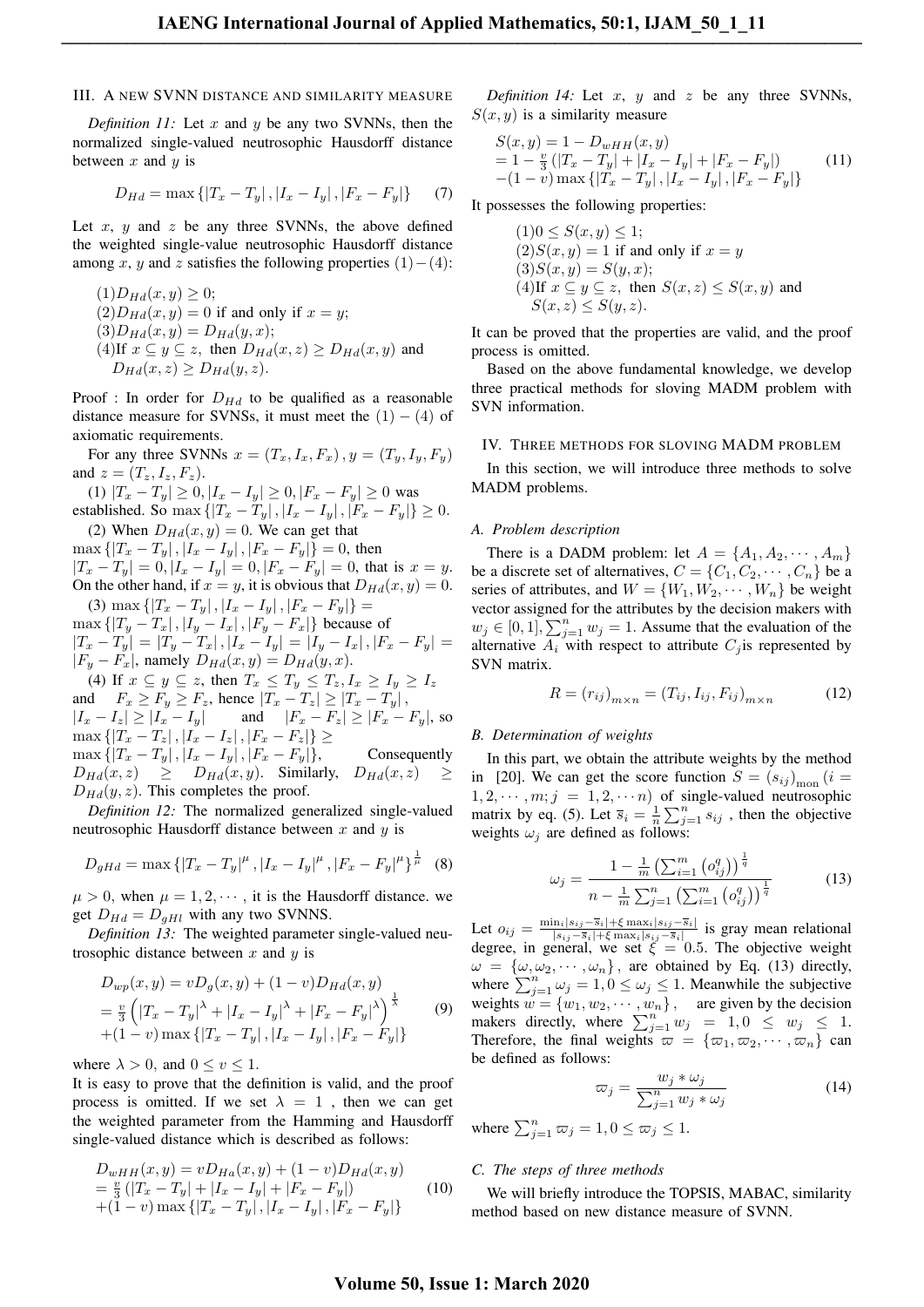## III. A NEW SVNN DISTANCE AND SIMILARITY MEASURE

*Definition 11:* Let *x* and *y* be any two SVNNs, then the normalized single-valued neutrosophic Hausdorff distance between *x* and *y* is

$$
D_{Hd} = \max\{|T_x - T_y|, |I_x - I_y|, |F_x - F_y|\}\
$$
 (7)

Let  $x$ ,  $y$  and  $z$  be any three SVNNs, the above defined the weighted single-value neutrosophic Hausdorff distance among *x*, *y* and *z* satisfies the following properties  $(1) - (4)$ :

$$
(1)D_{Hd}(x, y) \ge 0;
$$
  
\n
$$
(2)D_{Hd}(x, y) = 0
$$
 if and only if  $x = y$ ;  
\n
$$
(3)D_{Hd}(x, y) = D_{Hd}(y, x);
$$
  
\n
$$
(4) \text{If } x \subseteq y \subseteq z, \text{ then } D_{Hd}(x, z) \ge D_{Hd}(x, y) \text{ and }
$$
  
\n
$$
D_{Hd}(x, z) \ge D_{Hd}(y, z).
$$

Proof : In order for  $D_{Hd}$  to be qualified as a reasonable distance measure for SVNSs, it must meet the  $(1) - (4)$  of axiomatic requirements.

For any three SVNNs  $x = (T_x, I_x, F_x), y = (T_y, I_y, F_y)$ and  $z = (T_z, I_z, F_z)$ .

(1)  $|T_x - T_y| \ge 0, |I_x - I_y| \ge 0, |F_x - F_y| \ge 0$  was established. So max  $\{ |T_x - T_y|, |I_x - I_y|, |F_x - F_y| \} \ge 0$ . (2) When  $D_{Hd}(x, y) = 0$ . We can get that

 $\max \{|T_x - T_y|, |T_x - I_y|, |F_x - F_y|\} = 0$ , then  $|T_x-T_y|=0, |I_x-I_y|=0, |F_x-F_y|=0,$  that is  $x=y$ . On the other hand, if  $x = y$ , it is obvious that  $D_{Hd}(x, y) = 0$ .  $(3)$  max  $\{|T_x - T_y|, |I_x - I_y|, |F_x - F_y|\}$  $\max \{|T_y - T_x|, |I_y - I_x|, |F_y - F_x|\}$  because of

$$
\begin{aligned}\n|T_x - T_y| &= |T_y - T_x|, |I_x - I_y| = |I_y - I_x|, |F_x - F_y| = \\
|F_y - F_x|, \text{ namely } D_{Hd}(x, y) &= D_{Hd}(y, x). \\
\text{(4) If } x \subseteq y \subseteq z, \text{ then } T_x \le T_y \le T_z, I_x \ge I_y \ge I_z\n\end{aligned}
$$

and  $F_x \geq F_y \geq F_z$ , hence  $|T_x - T_z| \geq |T_x - T_y|$ ,  $|I_x - I_z| \ge |I_x - I_y|$  and  $|F_x - F_z| \ge |F_x - F_y|$ , so  $\max \{|T_x - T_z|, |I_x - I_z|, |F_x - F_z| \}$  $\max \{ |T_x - T_y|, |I_x - I_y|, |F_x - F_y| \},$  Consequently  $D_{Hd}(x, z) \geq D_{Hd}(x, y)$ . Similarly,  $D_{Hd}(x, z)$  $D_{Hd}(y, z)$ . This completes the proof.

*Definition 12:* The normalized generalized single-valued neutrosophic Hausdorff distance between *x* and *y* is

$$
D_{gHd} = \max\left\{ |T_x - T_y|^{\mu}, |I_x - I_y|^{\mu}, |F_x - F_y|^{\mu} \right\}^{\frac{1}{\mu}} \tag{8}
$$

 $\mu > 0$ , when  $\mu = 1, 2, \dots$ , it is the Hausdorff distance. we get  $D_{Hd} = D_{aHl}$  with any two SVNNS.

*Definition 13:* The weighted parameter single-valued neutrosophic distance between *x* and *y* is

$$
D_{wp}(x, y) = vD_g(x, y) + (1 - v)D_{Hd}(x, y)
$$
  
=  $\frac{v}{3} \left( |T_x - T_y|^{\lambda} + |I_x - I_y|^{\lambda} + |F_x - F_y|^{\lambda} \right)^{\frac{1}{\lambda}}$  (9)  
+ (1 - v) max { $|T_x - T_y|$ ,  $|I_x - I_y|$ ,  $|F_x - F_y|$ }

where  $\lambda > 0$ , and  $0 \le v \le 1$ .

It is easy to prove that the definition is valid, and the proof process is omitted. If we set  $\lambda = 1$ , then we can get the weighted parameter from the Hamming and Hausdorff single-valued distance which is described as follows:

$$
D_{wHH}(x,y) = vD_{Ha}(x,y) + (1-v)D_{Ha}(x,y)
$$
  
=  $\frac{v}{3}$  (|T<sub>x</sub> - T<sub>y</sub>| + |I<sub>x</sub> - I<sub>y</sub>| + |F<sub>x</sub> - F<sub>y</sub>|)  
+ (1-v) max {|T<sub>x</sub> - T<sub>y</sub>|, |I<sub>x</sub> - I<sub>y</sub>|, |F<sub>x</sub> - F<sub>y</sub>|} (10)

*Definition 14:* Let *x*, *y* and *z* be any three SVNNs,  $S(x, y)$  is a similarity measure

$$
S(x, y) = 1 - D_{wHH}(x, y)
$$
  
= 1 -  $\frac{v}{3}$  (|T<sub>x</sub> - T<sub>y</sub>| + |I<sub>x</sub> - I<sub>y</sub>| + |F<sub>x</sub> - F<sub>y</sub>|)  
-(1 - v) max {|T<sub>x</sub> - T<sub>y</sub>|, |I<sub>x</sub> - I<sub>y</sub>|, |F<sub>x</sub> - F<sub>y</sub>|} (11)

It possesses the following properties:

$$
(1)0 \le S(x, y) \le 1;
$$
  
\n
$$
(2)S(x, y) = 1
$$
 if and only if  $x = y$   
\n
$$
(3)S(x, y) = S(y, x);
$$
  
\n
$$
(4) \text{If } x \subseteq y \subseteq z, \text{ then } S(x, z) \le S(x, y) \text{ and }
$$
  
\n
$$
S(x, z) \le S(y, z).
$$

It can be proved that the properties are valid, and the proof process is omitted.

Based on the above fundamental knowledge, we develop three practical methods for sloving MADM problem with SVN information.

#### IV. THREE METHODS FOR SLOVING MADM PROBLEM

In this section, we will introduce three methods to solve MADM problems.

#### *A. Problem description*

There is a DADM problem: let  $A = \{A_1, A_2, \dots, A_m\}$ be a discrete set of alternatives,  $C = \{C_1, C_2, \dots, C_n\}$  be a series of attributes, and  $W = \{W_1, W_2, \dots, W_n\}$  be weight vector assigned for the attributes by the decision makers with  $w_j \in [0,1]$ ,  $\sum_{j=1}^n w_j = 1$ . Assume that the evaluation of the alternative  $A_i$  with respect to attribute  $C_i$  is represented by SVN matrix.

$$
R = (r_{ij})_{m \times n} = (T_{ij}, I_{ij}, F_{ij})_{m \times n}
$$
 (12)

### *B. Determination of weights*

In this part, we obtain the attribute weights by the method in [20]. We can get the score function  $S = (s_{ij})_{\text{mon}} (i =$  $1, 2, \cdots, m; j = 1, 2, \cdots, n$  of single-valued neutrosophic matrix by eq. (5). Let  $\overline{s}_i = \frac{1}{n} \sum_{j=1}^n s_{ij}$ , then the objective weights  $\omega_i$  are defined as follows:

$$
\omega_j = \frac{1 - \frac{1}{m} \left( \sum_{i=1}^m \left( o_{ij}^q \right) \right)^{\frac{1}{q}}}{n - \frac{1}{m} \sum_{j=1}^n \left( \sum_{i=1}^m \left( o_{ij}^q \right) \right)^{\frac{1}{q}}}
$$
(13)

Let  $o_{ij} = \frac{\min_i |s_{ij} - \bar{s}_i| + \xi \max_i |s_{ij} - \bar{s}_i|}{|s_{ii} - \bar{s}_i| + \xi \max_i |s_{ii} - \bar{s}_i|}$  $\frac{|n_i| s_{ij} - s_i| + \xi \max_i |s_{ij} - s_i|}{|s_{ij} - \overline{s}_i| + \xi \max_i |s_{ij} - \overline{s}_i|}$  is gray mean relational degree, in general, we set  $\xi = 0.5$ . The objective weight  $\omega = {\omega, \omega_2, \cdots, \omega_n}$ , are obtained by Eq. (13) directly, where  $\sum_{j=1}^{n} \omega_j = 1, 0 \leq \omega_j \leq 1$ . Meanwhile the subjective weights  $w = \{w_1, w_2, \dots, w_n\}$ , are given by the decision makers directly, where  $\sum_{j=1}^{n} w_j = 1, 0 \le w_j \le 1$ . Therefore, the final weights  $\varpi = {\varpi_1, \varpi_2, \cdots, \varpi_n}$  can be defined as follows:

$$
\varpi_j = \frac{w_j * \omega_j}{\sum_{j=1}^n w_j * \omega_j} \tag{14}
$$

where  $\sum_{j=1}^{n} \overline{\omega}_j = 1, 0 \le \overline{\omega}_j \le 1.$ 

## *C. The steps of three methods*

We will briefly introduce the TOPSIS, MABAC, similarity method based on new distance measure of SVNN.

## **Volume 50, Issue 1: March 2020**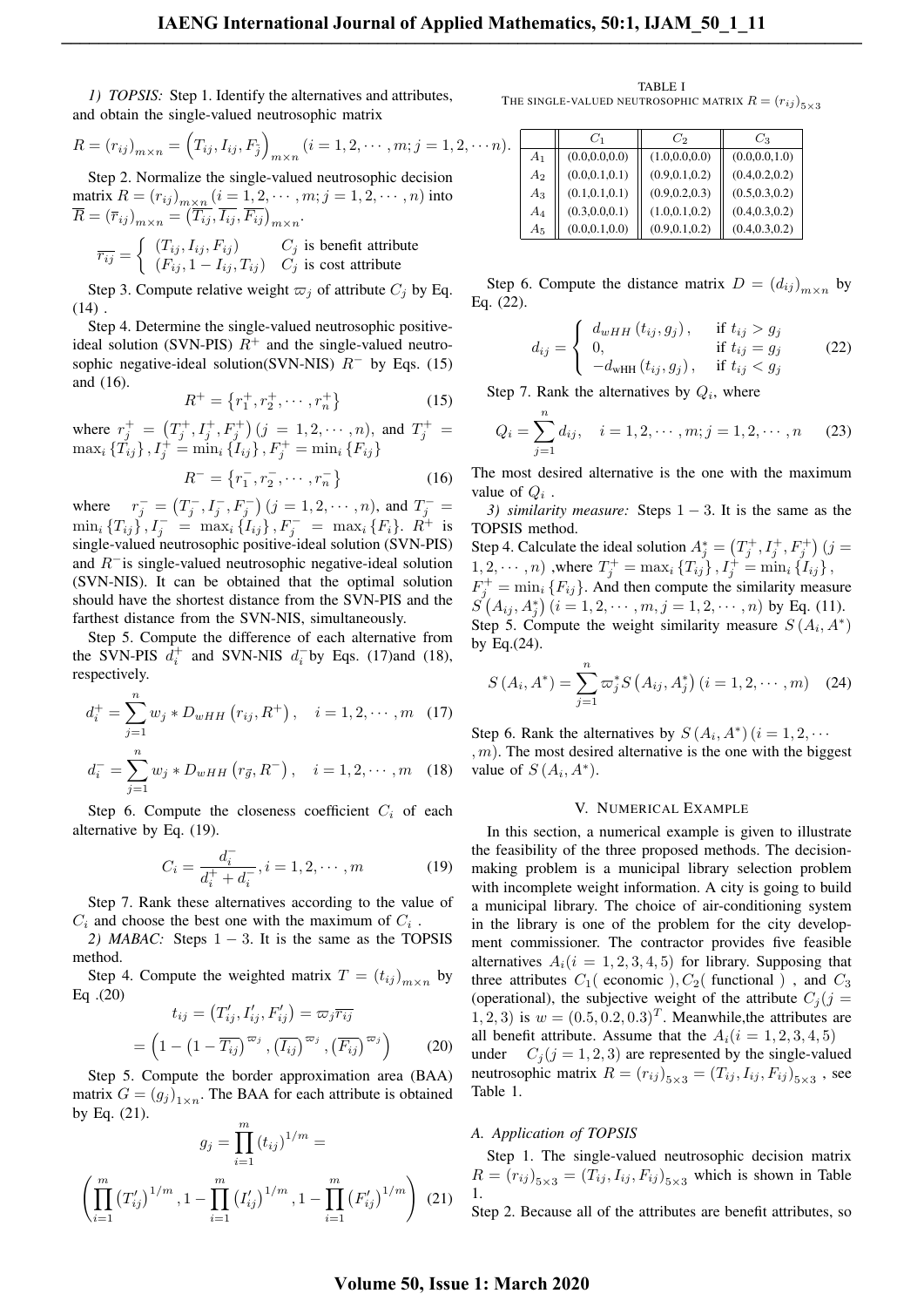*1) TOPSIS:* Step 1. Identify the alternatives and attributes, and obtain the single-valued neutrosophic matrix

$$
R = (r_{ij})_{m \times n} = (T_{ij}, I_{ij}, F_{\tilde{j}})_{m \times n} (i = 1, 2, \cdots, m; j = 1, 2, \cdots n).
$$

Step 2. Normalize the single-valued neutrosophic decision  $\frac{1}{2}$  matrix  $R = (r_{ij})_{\substack{n \times n \\ n \to \infty}} (i = 1, 2, \cdots, m; j = 1, 2, \cdots, n)$  into  $\overline{R} = (\overline{r}_{ij})_{m \times n} = (\overline{T_{ij}}, \overline{I_{ij}}, \overline{F_{ij}})_{m \times n}.$ 

$$
\overline{r_{ij}} = \begin{cases}\n(T_{ij}, I_{ij}, F_{ij}) & C_j \text{ is benefit attribute} \\
(F_{ij}, 1 - I_{ij}, T_{ij}) & C_j \text{ is cost attribute}\n\end{cases}
$$

Step 3. Compute relative weight  $\varpi_j$  of attribute  $C_j$  by Eq.  $(14)$ .

Step 4. Determine the single-valued neutrosophic positiveideal solution (SVN-PIS)  $R^+$  and the single-valued neutrosophic negative-ideal solution(SVN-NIS)  $R$ <sup>−</sup> by Eqs. (15) and (16).

$$
R^{+} = \{r_1^+, r_2^+, \cdots, r_n^+\}\tag{15}
$$

where  $r_j^+ = (T_j^+, I_j^+, F_j^+)$   $(j = 1, 2, \dots, n)$ , and  $T_j^+ =$  $\max_i {\{\tilde{T}_{ij}\}}$  ,  $I_j^+ = \min_i {\{\tilde{I}_{ij}\}}$  ,  $F_j^+ = \min_i {\{F_{ij}\}}$ 

$$
R^{-} = \{r_1^{-}, r_2^{-}, \cdots, r_n^{-}\}\tag{16}
$$

where  $r_j^- = (T_j^-, I_j^-, F_j^-)$   $(j = 1, 2, \dots, n)$ , and  $T_j^- =$  $\min_i \{T_{ij}\}, I_j^- = \max_i \{I_{ij}\}, F_j^- = \max_i \{F_i\}.$  *R*<sup>+</sup> is single-valued neutrosophic positive-ideal solution (SVN-PIS) and *R−*is single-valued neutrosophic negative-ideal solution (SVN-NIS). It can be obtained that the optimal solution should have the shortest distance from the SVN-PIS and the farthest distance from the SVN-NIS, simultaneously.

Step 5. Compute the difference of each alternative from the SVN-PIS  $\bar{d}_i^+$  and SVN-NIS  $d_i^-$  by Eqs. (17)and (18), respectively.

$$
d_i^+ = \sum_{j=1}^n w_j * D_{wHH}(r_{ij}, R^+), \quad i = 1, 2, \cdots, m \quad (17)
$$

$$
d_i^- = \sum_{j=1}^n w_j * D_{wHH}(r_{\vec{g}}, R^-), \quad i = 1, 2, \cdots, m \quad (18)
$$

Step 6. Compute the closeness coefficient  $C_i$  of each alternative by Eq. (19).

$$
C_i = \frac{d_i^-}{d_i^+ + d_i^-}, i = 1, 2, \cdots, m
$$
 (19)

Step 7. Rank these alternatives according to the value of  $C_i$  and choose the best one with the maximum of  $C_i$ .

*2) MABAC:* Steps 1 *−* 3. It is the same as the TOPSIS method.

Step 4. Compute the weighted matrix  $T = (t_{ij})_{m \times n}$  by Eq .(20)

$$
t_{ij} = (T'_{ij}, I'_{ij}, F'_{ij}) = \varpi_j \overline{r_{ij}}
$$

$$
= \left(1 - \left(1 - \overline{T_{ij}}\right)^{\varpi_j}, \left(\overline{I_{ij}}\right)^{\varpi_j}, \left(\overline{F_{ij}}\right)^{\varpi_j}\right) \tag{20}
$$

Step 5. Compute the border approximation area (BAA) matrix  $G = (g_j)_{1 \times n}$ . The BAA for each attribute is obtained by Eq. (21).

$$
g_j = \prod_{i=1}^m (t_{ij})^{1/m} =
$$

$$
\left(\prod_{i=1}^m (T'_{ij})^{1/m}, 1 - \prod_{i=1}^m (I'_{ij})^{1/m}, 1 - \prod_{i=1}^m (F'_{ij})^{1/m}\right)
$$
(21)

TABLE I THE SINGLE-VALUED NEUTROSOPHIC MATRIX  $R = (r_{ij})_{5 \times 3}$ 

|                | $C_1$           | Cэ              | Cз              |
|----------------|-----------------|-----------------|-----------------|
| A <sub>1</sub> | (0.0, 0.0, 0.0) | (1.0, 0.0, 0.0) | (0.0, 0.0, 1.0) |
| $A_2$          | (0.0, 0.1, 0.1) | (0.9, 0.1, 0.2) | (0.4, 0.2, 0.2) |
| $A_3$          | (0.1, 0.1, 0.1) | (0.9, 0.2, 0.3) | (0.5, 0.3, 0.2) |
| $A_4$          | (0.3, 0.0, 0.1) | (1.0, 0.1, 0.2) | (0.4, 0.3, 0.2) |
| $A_5$          | (0.0, 0.1, 0.0) | (0.9, 0.1, 0.2) | (0.4, 0.3, 0.2) |

Step 6. Compute the distance matrix  $D = (d_{ij})_{m \times n}$  by Eq. (22).

$$
d_{ij} = \begin{cases} d_{wHH}(t_{ij}, g_j), & \text{if } t_{ij} > g_j \\ 0, & \text{if } t_{ij} = g_j \\ -d_{wHH}(t_{ij}, g_j), & \text{if } t_{ij} < g_j \end{cases}
$$
 (22)

Step 7. Rank the alternatives by  $Q_i$ , where

$$
Q_i = \sum_{j=1}^n d_{ij}, \quad i = 1, 2, \cdots, m; j = 1, 2, \cdots, n
$$
 (23)

The most desired alternative is the one with the maximum value of  $Q_i$ .

*3) similarity measure:* Steps 1 − 3. It is the same as the TOPSIS method.

Step 4. Calculate the ideal solution  $A_j^* = (T_j^+, I_j^+, F_j^+)$  (*j* =  $1, 2, \cdots, n$ ) ,where  $T_j^+ = \max_i \{T_{ij}\}, I_j^+ = \min_i \{I_{ij}\},$  $F_j^+$  = min<sub>i</sub> { $F_{ij}$ }. And then compute the similarity measure  $S^{'}(A_{ij}, A^*_j)$   $(i = 1, 2, \cdots, m, j = 1, 2, \cdots, n)$  by Eq. (11). Step 5. Compute the weight similarity measure  $S(A_i, A^*)$ by Eq.(24).

$$
S(A_i, A^*) = \sum_{j=1}^{n} \varpi_j^* S(A_{ij}, A_j^*) (i = 1, 2, \cdots, m)
$$
 (24)

Step 6. Rank the alternatives by  $S(A_i, A^*)$   $(i = 1, 2, \cdots)$ *, m*). The most desired alternative is the one with the biggest value of  $S(A_i, A^*)$ .

#### V. NUMERICAL EXAMPLE

In this section, a numerical example is given to illustrate the feasibility of the three proposed methods. The decisionmaking problem is a municipal library selection problem with incomplete weight information. A city is going to build a municipal library. The choice of air-conditioning system in the library is one of the problem for the city development commissioner. The contractor provides five feasible alternatives  $A_i(i = 1, 2, 3, 4, 5)$  for library. Supposing that three attributes  $C_1$  (economic ),  $C_2$  (functional ), and  $C_3$ (operational), the subjective weight of the attribute  $C_i$  ( $j$  = 1, 2, 3) is  $w = (0.5, 0.2, 0.3)^T$ . Meanwhile, the attributes are all benefit attribute. Assume that the  $A_i(i = 1, 2, 3, 4, 5)$ under  $C_j$  ( $j = 1, 2, 3$ ) are represented by the single-valued neutrosophic matrix  $R = (r_{ij})_{5 \times 3} = (T_{ij}, I_{ij}, F_{ij})_{5 \times 3}$ , see Table 1.

## *A. Application of TOPSIS*

Step 1. The single-valued neutrosophic decision matrix  $R = (r_{ij})_{5 \times 3} = (T_{ij}, I_{ij}, F_{ij})_{5 \times 3}$  which is shown in Table 1. Step 2. Because all of the attributes are benefit attributes, so

## **Volume 50, Issue 1: March 2020**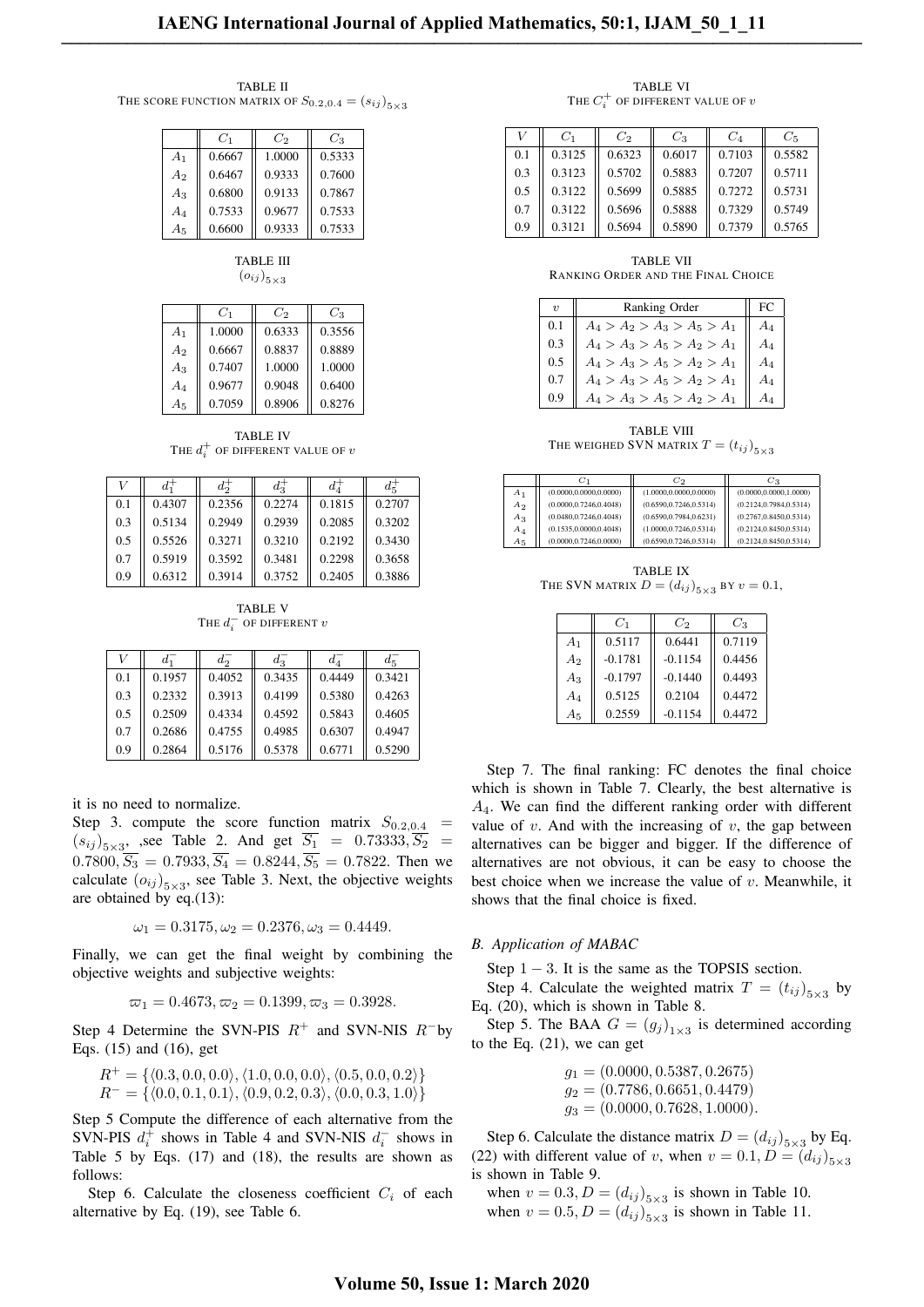TABLE II THE SCORE FUNCTION MATRIX OF  $S_{0.2,0.4} = (s_{ij})_{5 \times 3}$ 

|                | $C_1$  | C2     | $C_3$  |
|----------------|--------|--------|--------|
| A <sub>1</sub> | 0.6667 | 1.0000 | 0.5333 |
| A <sub>2</sub> | 0.6467 | 0.9333 | 0.7600 |
| $A_3$          | 0.6800 | 0.9133 | 0.7867 |
| $A_4$          | 0.7533 | 0.9677 | 0.7533 |
| A5             | 0.6600 | 0.9333 | 0.7533 |

| <b>TABLE III</b>       |  |
|------------------------|--|
| $(o_{ij})_{5\times 3}$ |  |

|                | $C_1$  | $C_2$  | $C_3$  |
|----------------|--------|--------|--------|
| A <sub>1</sub> | 1.0000 | 0.6333 | 0.3556 |
| $A_2$          | 0.6667 | 0.8837 | 0.8889 |
| $A_3$          | 0.7407 | 1.0000 | 1.0000 |
| $A_4$          | 0.9677 | 0.9048 | 0.6400 |
| A5             | 0.7059 | 0.8906 | 0.8276 |

TABLE IV THE  $d_i^+$  of different value of  $v$ 

| U   |        | $d_{\alpha}^+$ | $d_2^+$ | $d_4^-$ | $d\vec{z}$ |
|-----|--------|----------------|---------|---------|------------|
| 0.1 | 0.4307 | 0.2356         | 0.2274  | 0.1815  | 0.2707     |
| 0.3 | 0.5134 | 0.2949         | 0.2939  | 0.2085  | 0.3202     |
| 0.5 | 0.5526 | 0.3271         | 0.3210  | 0.2192  | 0.3430     |
| 0.7 | 0.5919 | 0.3592         | 0.3481  | 0.2298  | 0.3658     |
| 0.9 | 0.6312 | 0.3914         | 0.3752  | 0.2405  | 0.3886     |

TABLE V The  $d_i^-$  of different  $v$ 

|     | $d_1$  | $d_2$  | $d_{\mathcal{D}}^-$ | $d_{\rm A}$ | $d_5^-$ |
|-----|--------|--------|---------------------|-------------|---------|
| 0.1 | 0.1957 | 0.4052 | 0.3435              | 0.4449      | 0.3421  |
| 0.3 | 0.2332 | 0.3913 | 0.4199              | 0.5380      | 0.4263  |
| 0.5 | 0.2509 | 0.4334 | 0.4592              | 0.5843      | 0.4605  |
| 0.7 | 0.2686 | 0.4755 | 0.4985              | 0.6307      | 0.4947  |
| 0.9 | 0.2864 | 0.5176 | 0.5378              | 0.6771      | 0.5290  |

it is no need to normalize.

Step 3. compute the score function matrix  $S_{0.2,0.4}$  =  $(s_{ij})_{5\times3}$ , see Table 2. And get  $S_1 = 0.73333, S_2 =$  $0.7800, \overline{S_3} = 0.7933, \overline{S_4} = 0.8244, \overline{S_5} = 0.7822$ . Then we calculate  $(o_{ij})_{5\times 3}$ , see Table 3. Next, the objective weights are obtained by eq.(13):

 $\omega_1 = 0.3175, \omega_2 = 0.2376, \omega_3 = 0.4449.$ 

Finally, we can get the final weight by combining the objective weights and subjective weights:

$$
\varpi_1 = 0.4673, \varpi_2 = 0.1399, \varpi_3 = 0.3928.
$$

Step 4 Determine the SVN-PIS *R*<sup>+</sup> and SVN-NIS *R−*by Eqs. (15) and (16), get

$$
R^+ = \{ \langle 0.3, 0.0, 0.0 \rangle, \langle 1.0, 0.0, 0.0 \rangle, \langle 0.5, 0.0, 0.2 \rangle \}
$$
  

$$
R^- = \{ \langle 0.0, 0.1, 0.1 \rangle, \langle 0.9, 0.2, 0.3 \rangle, \langle 0.0, 0.3, 1.0 \rangle \}
$$

Step 5 Compute the difference of each alternative from the SVN-PIS  $d_i^+$  shows in Table 4 and SVN-NIS  $d_i^-$  shows in Table 5 by Eqs. (17) and (18), the results are shown as follows:

Step 6. Calculate the closeness coefficient  $C_i$  of each alternative by Eq. (19), see Table 6.

TABLE VI THE  $C_i^+$  of different value of  $v$ 

| U   | $C_1$  | $C_2$  | $C_3$  | $C_4$  | $C_5$  |
|-----|--------|--------|--------|--------|--------|
| 0.1 | 0.3125 | 0.6323 | 0.6017 | 0.7103 | 0.5582 |
| 0.3 | 0.3123 | 0.5702 | 0.5883 | 0.7207 | 0.5711 |
| 0.5 | 0.3122 | 0.5699 | 0.5885 | 0.7272 | 0.5731 |
| 0.7 | 0.3122 | 0.5696 | 0.5888 | 0.7329 | 0.5749 |
| 0.9 | 0.3121 | 0.5694 | 0.5890 | 0.7379 | 0.5765 |

TABLE VII RANKING ORDER AND THE FINAL CHOICE

| $\boldsymbol{\eta}$ | Ranking Order                 | $FC$  |
|---------------------|-------------------------------|-------|
| 0.1                 | $A_4 > A_2 > A_3 > A_5 > A_1$ | $A_4$ |
| 0.3                 | $A_4 > A_3 > A_5 > A_2 > A_1$ | $A_4$ |
| 0.5                 | $A_4 > A_3 > A_5 > A_2 > A_1$ | $A_4$ |
| 0.7                 | $A_4 > A_3 > A_5 > A_2 > A_1$ | $A_4$ |
| 0.9 <sub>o</sub>    | $A_4>A_3>A_5>A_2>A_2$         | $A_4$ |

TABLE VIII THE WEIGHED SVN MATRIX  $T = (t_{ij})_{5 \times 3}$ 

|                | $C_1$                    | $C_2$                    | $C_3$                    |
|----------------|--------------------------|--------------------------|--------------------------|
| $A_1$          | (0.0000, 0.0000, 0.0000) | (1.0000, 0.0000, 0.0000) | (0.0000, 0.0000, 1.0000) |
| A <sub>2</sub> | (0.0000, 0.7246, 0.4048) | (0.6590, 0.7246, 0.5314) | (0.2124, 0.7984, 0.5314) |
| $A_3$          | (0.0480, 0.7246, 0.4048) | (0.6590, 0.7984, 0.6231) | (0.2767, 0.8450, 0.5314) |
| $A_4$          | (0.1535, 0.0000, 0.4048) | (1.0000, 0.7246, 0.5314) | (0.2124, 0.8450, 0.5314) |
| $A_5$          | (0.0000, 0.7246, 0.0000) | (0.6590, 0.7246, 0.5314) | (0.2124, 0.8450, 0.5314) |

TABLE IX THE SVN MATRIX  $D = (d_{ij})_{5 \times 3}$  by  $v = 0.1$ ,

|                | $C_1$     | $C_2$     | $C_3$  |
|----------------|-----------|-----------|--------|
| A <sub>1</sub> | 0.5117    | 0.6441    | 0.7119 |
| A <sub>2</sub> | $-0.1781$ | $-0.1154$ | 0.4456 |
| $A_3$          | $-0.1797$ | $-0.1440$ | 0.4493 |
| $A_4$          | 0.5125    | 0.2104    | 0.4472 |
| $A_5$          | 0.2559    | $-0.1154$ | 0.4472 |

Step 7. The final ranking: FC denotes the final choice which is shown in Table 7. Clearly, the best alternative is *A*4. We can find the different ranking order with different value of  $v$ . And with the increasing of  $v$ , the gap between alternatives can be bigger and bigger. If the difference of alternatives are not obvious, it can be easy to choose the best choice when we increase the value of *v*. Meanwhile, it shows that the final choice is fixed.

## *B. Application of MABAC*

Step 1 − 3. It is the same as the TOPSIS section.

Step 4. Calculate the weighted matrix  $T = (t_{ij})_{5 \times 3}$  by Eq. (20), which is shown in Table 8.

Step 5. The BAA  $G = (g_j)_{1 \times 3}$  is determined according to the Eq. (21), we can get

> *g*<sup>1</sup> = (0*.*0000*,* 0*.*5387*,* 0*.*2675) *g*<sup>2</sup> = (0*.*7786*,* 0*.*6651*,* 0*.*4479) *g*<sup>3</sup> = (0*.*0000*,* 0*.*7628*,* 1*.*0000)*.*

Step 6. Calculate the distance matrix  $D = (d_{ij})_{5 \times 3}$  by Eq. (22) with different value of *v*, when  $v = 0.1, D = (d_{ij})_{5 \times 3}$ is shown in Table 9.

when  $v = 0.3, D = (d_{ij})_{5 \times 3}$  is shown in Table 10. when  $v = 0.5, D = (d_{ij})_{5 \times 3}$  is shown in Table 11.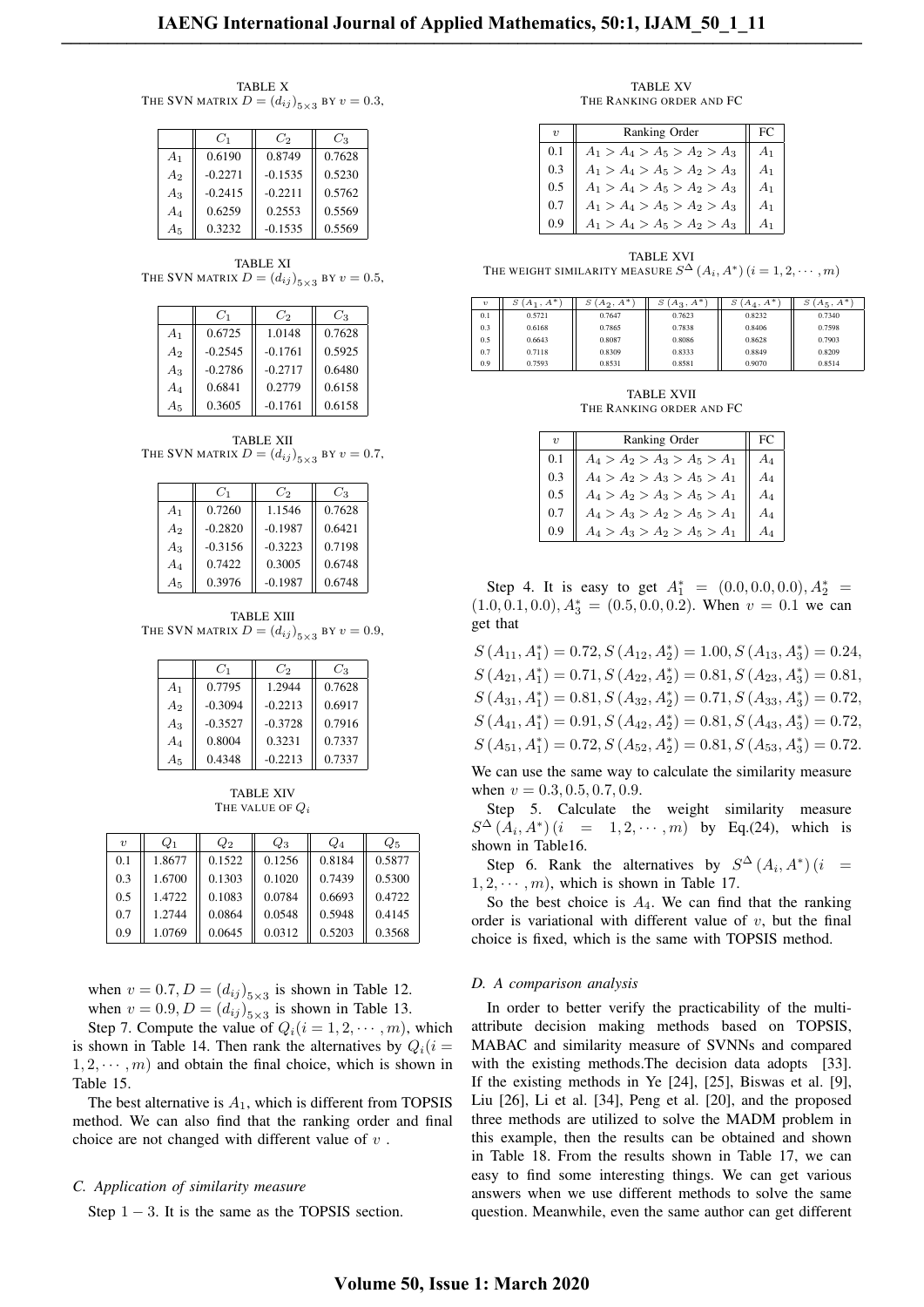TABLE X THE SVN MATRIX  $D = (d_{ij})_{5 \times 3}$  by  $v = 0.3$ ,

|                | $C_1$     | $C_2$     | Cз     |
|----------------|-----------|-----------|--------|
| A <sub>1</sub> | 0.6190    | 0.8749    | 0.7628 |
| A <sub>2</sub> | $-0.2271$ | $-0.1535$ | 0.5230 |
| $A_3$          | $-0.2415$ | $-0.2211$ | 0.5762 |
| $A_4$          | 0.6259    | 0.2553    | 0.5569 |
| $A_5$          | 0.3232    | $-0.1535$ | 0.5569 |

TABLE XI THE SVN MATRIX  $D = (d_{ij})_{5 \times 3}$  by  $v = 0.5$ ,

|                | $C_1$     | $C_2$     | $C_3$  |
|----------------|-----------|-----------|--------|
| A <sub>1</sub> | 0.6725    | 1.0148    | 0.7628 |
| A <sub>2</sub> | $-0.2545$ | $-0.1761$ | 0.5925 |
| $A_3$          | $-0.2786$ | $-0.2717$ | 0.6480 |
| $A_4$          | 0.6841    | 0.2779    | 0.6158 |
| $A_5$          | 0.3605    | $-0.1761$ | 0.6158 |

TABLE XII THE SVN MATRIX  $D = (d_{ij})_{5 \times 3}$  by  $v = 0.7$ ,

|                | $C_1$     | $C_2$     | $C_3$  |
|----------------|-----------|-----------|--------|
| A <sub>1</sub> | 0.7260    | 1.1546    | 0.7628 |
| A <sub>2</sub> | $-0.2820$ | $-0.1987$ | 0.6421 |
| $A_3$          | $-0.3156$ | $-0.3223$ | 0.7198 |
| $A_4$          | 0.7422    | 0.3005    | 0.6748 |
| $A_5$          | 0.3976    | $-0.1987$ | 0.6748 |

TABLE XIII THE SVN MATRIX  $D = (d_{ij})_{5 \times 3}$  by  $v = 0.9$ ,

|                | $C_1$     | $C_2$     | $C_3$  |
|----------------|-----------|-----------|--------|
| A <sub>1</sub> | 0.7795    | 1.2944    | 0.7628 |
| A <sub>2</sub> | $-0.3094$ | $-0.2213$ | 0.6917 |
| $A_3$          | $-0.3527$ | $-0.3728$ | 0.7916 |
| $A_4$          | 0.8004    | 0.3231    | 0.7337 |
| $A_5$          | 0.4348    | $-0.2213$ | 0.7337 |

TABLE XIV THE VALUE OF *Q<sup>i</sup>*

| $\boldsymbol{\eta}$ | $Q_1$  | $Q_2$  | $Q_3$  | $Q_4$  | $Q_5$  |
|---------------------|--------|--------|--------|--------|--------|
| 0.1                 | 1.8677 | 0.1522 | 0.1256 | 0.8184 | 0.5877 |
| 0.3                 | 1.6700 | 0.1303 | 0.1020 | 0.7439 | 0.5300 |
| 0.5                 | 1.4722 | 0.1083 | 0.0784 | 0.6693 | 0.4722 |
| 0.7                 | 1.2744 | 0.0864 | 0.0548 | 0.5948 | 0.4145 |
| 0.9                 | 1.0769 | 0.0645 | 0.0312 | 0.5203 | 0.3568 |

when  $v = 0.7, D = (d_{ij})_{5 \times 3}$  is shown in Table 12.

when  $v = 0.9, D = (d_{ij})_{5 \times 3}$  is shown in Table 13. Step 7. Compute the value of  $Q_i(i = 1, 2, \dots, m)$ , which is shown in Table 14. Then rank the alternatives by  $Q_i(i)$  $1, 2, \cdots, m$  and obtain the final choice, which is shown in Table 15.

The best alternative is *A*1, which is different from TOPSIS method. We can also find that the ranking order and final choice are not changed with different value of *v* .

#### *C. Application of similarity measure*

Step 1 *−* 3. It is the same as the TOPSIS section.

TABLE XV THE RANKING ORDER AND FC

|     | Ranking Order                 | FC |
|-----|-------------------------------|----|
|     | $A_1 > A_4 > A_5 > A_2 > A_3$ | Α1 |
| 0.3 | $A_1 > A_4 > A_5 > A_2 > A_3$ | A1 |
| 0.5 | $A_1 > A_4 > A_5 > A_2 > A_3$ | A1 |
| 0.7 | $A_1 > A_4 > A_5 > A_2 > A_3$ | A1 |
|     | $A_1 > A_4 > A_5 > A_2 > A_3$ |    |

TABLE XVI THE WEIGHT SIMILARITY MEASURE  $S^{\Delta}(A_i, A^*)$   $(i = 1, 2, \cdots, m)$ 

| $\boldsymbol{\eta}$ | $S(A_1, A^*)$ | $S(A_2, A^*)$ | $S(A_3, A^*)$ | $S(A_4, A^*)$ | $S(A_5, A^*)$ |
|---------------------|---------------|---------------|---------------|---------------|---------------|
| 0.1                 | 0.5721        | 0.7647        | 0.7623        | 0.8232        | 0.7340        |
| 0.3                 | 0.6168        | 0.7865        | 0.7838        | 0.8406        | 0.7598        |
| 0.5                 | 0.6643        | 0.8087        | 0.8086        | 0.8628        | 0.7903        |
| 0.7                 | 0.7118        | 0.8309        | 0.8333        | 0.8849        | 0.8209        |
| 0.9                 | 0.7593        | 0.8531        | 0.8581        | 0.9070        | 0.8514        |

TABLE XVII THE RANKING ORDER AND FC

|     | Ranking Order                 | FC |
|-----|-------------------------------|----|
| 0.1 | $A_4 > A_2 > A_3 > A_5 > A_1$ |    |
| 0.3 | $A_4 > A_2 > A_3 > A_5 > A_1$ |    |
| 0.5 | $A_4 > A_2 > A_3 > A_5 > A_1$ |    |
| 0.7 | $A_4 > A_3 > A_2 > A_5 > A_1$ | A4 |
|     | $A_4 > A_3 > A_2 > A_5 > A_1$ |    |

Step 4. It is easy to get  $A_1^* = (0.0, 0.0, 0.0), A_2^* =$  $(1.0, 0.1, 0.0), A_3^* = (0.5, 0.0, 0.2)$ . When  $v = 0.1$  we can get that

 $S(A_{11}, A_1^*) = 0.72, S(A_{12}, A_2^*) = 1.00, S(A_{13}, A_3^*) = 0.24,$  $S(A_{21}, A_1^*) = 0.71, S(A_{22}, A_2^*) = 0.81, S(A_{23}, A_3^*) = 0.81,$  $S(A_{31}, A_1^*) = 0.81, S(A_{32}, A_2^*) = 0.71, S(A_{33}, A_3^*) = 0.72,$  $S(A_{41}, A_1^*) = 0.91, S(A_{42}, A_2^*) = 0.81, S(A_{43}, A_3^*) = 0.72,$  $S(A_{51}, A_1^*) = 0.72, S(A_{52}, A_2^*) = 0.81, S(A_{53}, A_3^*) = 0.72.$ 

We can use the same way to calculate the similarity measure when  $v = 0.3, 0.5, 0.7, 0.9$ .

Step 5. Calculate the weight similarity measure  $S^{\Delta}(A_i, A^*)(i = 1, 2, \cdots, m)$  by Eq.(24), which is shown in Table16.

Step 6. Rank the alternatives by  $S^{\Delta}(A_i, A^*)(i)$  $1, 2, \cdots, m$ , which is shown in Table 17.

So the best choice is  $A_4$ . We can find that the ranking order is variational with different value of *v*, but the final choice is fixed, which is the same with TOPSIS method.

#### *D. A comparison analysis*

In order to better verify the practicability of the multiattribute decision making methods based on TOPSIS, MABAC and similarity measure of SVNNs and compared with the existing methods. The decision data adopts [33]. If the existing methods in Ye [24], [25], Biswas et al. [9], Liu [26], Li et al. [34], Peng et al. [20], and the proposed three methods are utilized to solve the MADM problem in this example, then the results can be obtained and shown in Table 18. From the results shown in Table 17, we can easy to find some interesting things. We can get various answers when we use different methods to solve the same question. Meanwhile, even the same author can get different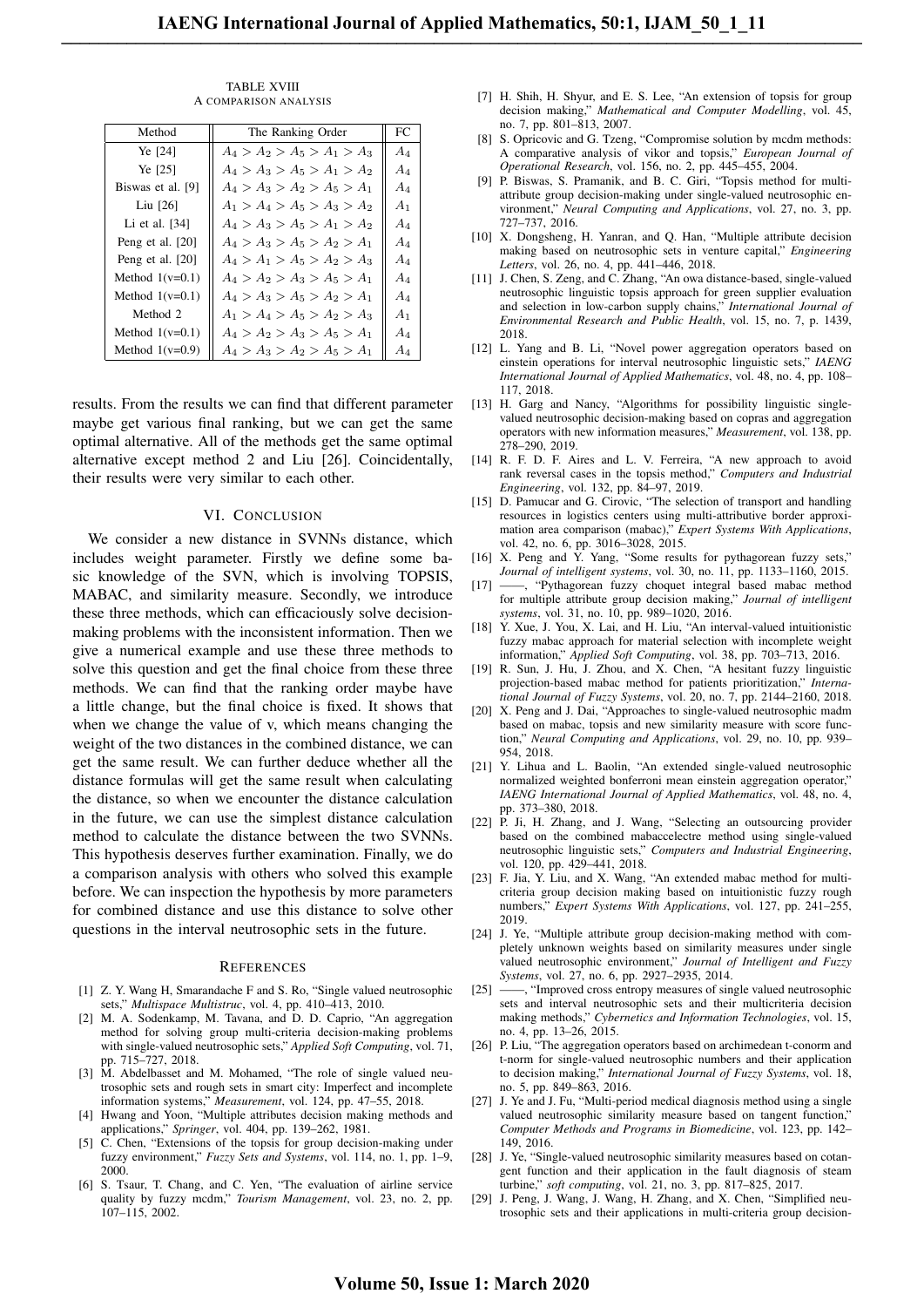| Method            | The Ranking Order             | FC             |
|-------------------|-------------------------------|----------------|
| Ye [24]           | $A_4 > A_2 > A_5 > A_1 > A_3$ | $A_4$          |
| Ye [25]           | $A_4 > A_3 > A_5 > A_1 > A_2$ | $A_4$          |
| Biswas et al. [9] | $A_4 > A_3 > A_2 > A_5 > A_1$ | $A_4$          |
| Liu $[26]$        | $A_1 > A_4 > A_5 > A_3 > A_2$ | A <sub>1</sub> |
| Li et al. $[34]$  | $A_4 > A_3 > A_5 > A_1 > A_2$ | $A_4$          |
| Peng et al. [20]  | $A_4 > A_3 > A_5 > A_2 > A_1$ | A4             |
| Peng et al. [20]  | $A_4 > A_1 > A_5 > A_2 > A_3$ | $A_4$          |
| Method $1(v=0.1)$ | $A_4 > A_2 > A_3 > A_5 > A_1$ | $A_4$          |
| Method $1(v=0.1)$ | $A_4 > A_3 > A_5 > A_2 > A_1$ | $A_4$          |
| Method 2          | $A_1 > A_4 > A_5 > A_2 > A_3$ | A <sub>1</sub> |
| Method $1(v=0.1)$ | $A_4 > A_2 > A_3 > A_5 > A_1$ | $A_4$          |
| Method $1(v=0.9)$ | $A_4 > A_3 > A_2 > A_5 > A_1$ | $A_4$          |

TABLE XVIII A COMPARISON ANALYSIS

results. From the results we can find that different parameter maybe get various final ranking, but we can get the same optimal alternative. All of the methods get the same optimal alternative except method 2 and Liu [26]. Coincidentally, their results were very similar to each other.

#### VI. CONCLUSION

We consider a new distance in SVNNs distance, which includes weight parameter. Firstly we define some basic knowledge of the SVN, which is involving TOPSIS, MABAC, and similarity measure. Secondly, we introduce these three methods, which can efficaciously solve decisionmaking problems with the inconsistent information. Then we give a numerical example and use these three methods to solve this question and get the final choice from these three methods. We can find that the ranking order maybe have a little change, but the final choice is fixed. It shows that when we change the value of v, which means changing the weight of the two distances in the combined distance, we can get the same result. We can further deduce whether all the distance formulas will get the same result when calculating the distance, so when we encounter the distance calculation in the future, we can use the simplest distance calculation method to calculate the distance between the two SVNNs. This hypothesis deserves further examination. Finally, we do a comparison analysis with others who solved this example before. We can inspection the hypothesis by more parameters for combined distance and use this distance to solve other questions in the interval neutrosophic sets in the future.

#### **REFERENCES**

- [1] Z. Y. Wang H, Smarandache F and S. Ro, "Single valued neutrosophic sets," *Multispace Multistruc*, vol. 4, pp. 410–413, 2010.
- [2] M. A. Sodenkamp, M. Tavana, and D. D. Caprio, "An aggregation method for solving group multi-criteria decision-making problems with single-valued neutrosophic sets," *Applied Soft Computing*, vol. 71, pp. 715–727, 2018.
- [3] M. Abdelbasset and M. Mohamed, "The role of single valued neutrosophic sets and rough sets in smart city: Imperfect and incomplete information systems," *Measurement*, vol. 124, pp. 47–55, 2018.
- [4] Hwang and Yoon, "Multiple attributes decision making methods and applications," *Springer*, vol. 404, pp. 139–262, 1981.
- [5] C. Chen, "Extensions of the topsis for group decision-making under fuzzy environment," *Fuzzy Sets and Systems*, vol. 114, no. 1, pp. 1–9, 2000.
- [6] S. Tsaur, T. Chang, and C. Yen, "The evaluation of airline service quality by fuzzy mcdm," *Tourism Management*, vol. 23, no. 2, pp. 107–115, 2002.
- [7] H. Shih, H. Shyur, and E. S. Lee, "An extension of topsis for group decision making," *Mathematical and Computer Modelling*, vol. 45, no. 7, pp. 801–813, 2007.
- [8] S. Opricovic and G. Tzeng, "Compromise solution by mcdm methods: A comparative analysis of vikor and topsis," *European Journal of Operational Research*, vol. 156, no. 2, pp. 445–455, 2004.
- [9] P. Biswas, S. Pramanik, and B. C. Giri, "Topsis method for multiattribute group decision-making under single-valued neutrosophic environment," *Neural Computing and Applications*, vol. 27, no. 3, pp. 727–737, 2016.
- [10] X. Dongsheng, H. Yanran, and Q. Han, "Multiple attribute decision making based on neutrosophic sets in venture capital," *Engineering Letters*, vol. 26, no. 4, pp. 441–446, 2018.
- [11] J. Chen, S. Zeng, and C. Zhang, "An owa distance-based, single-valued neutrosophic linguistic topsis approach for green supplier evaluation and selection in low-carbon supply chains," *International Journal of Environmental Research and Public Health*, vol. 15, no. 7, p. 1439, 2018.
- [12] L. Yang and B. Li, "Novel power aggregation operators based on einstein operations for interval neutrosophic linguistic sets," *IAENG International Journal of Applied Mathematics*, vol. 48, no. 4, pp. 108– 117, 2018.
- [13] H. Garg and Nancy, "Algorithms for possibility linguistic singlevalued neutrosophic decision-making based on copras and aggregation operators with new information measures," *Measurement*, vol. 138, pp. 278–290, 2019.
- [14] R. F. D. F. Aires and L. V. Ferreira, "A new approach to avoid rank reversal cases in the topsis method," *Computers and Industrial Engineering*, vol. 132, pp. 84–97, 2019.
- [15] D. Pamucar and G. Cirovic, "The selection of transport and handling resources in logistics centers using multi-attributive border approximation area comparison (mabac)," *Expert Systems With Applications*, vol. 42, no. 6, pp. 3016–3028, 2015.
- [16] X. Peng and Y. Yang, "Some results for pythagorean fuzzy sets," *Journal of intelligent systems*, vol. 30, no. 11, pp. 1133–1160, 2015.
- [17] ——, "Pythagorean fuzzy choquet integral based mabac method for multiple attribute group decision making," *Journal of intelligent systems*, vol. 31, no. 10, pp. 989–1020, 2016.
- [18] Y. Xue, J. You, X. Lai, and H. Liu, "An interval-valued intuitionistic fuzzy mabac approach for material selection with incomplete weight information," *Applied Soft Computing*, vol. 38, pp. 703–713, 2016.
- [19] R. Sun, J. Hu, J. Zhou, and X. Chen, "A hesitant fuzzy linguistic projection-based mabac method for patients prioritization," *International Journal of Fuzzy Systems*, vol. 20, no. 7, pp. 2144–2160, 2018.
- [20] X. Peng and J. Dai, "Approaches to single-valued neutrosophic madm based on mabac, topsis and new similarity measure with score function," *Neural Computing and Applications*, vol. 29, no. 10, pp. 939– 954, 2018.
- [21] Y. Lihua and L. Baolin, "An extended single-valued neutrosophic normalized weighted bonferroni mean einstein aggregation operator.' *IAENG International Journal of Applied Mathematics*, vol. 48, no. 4, pp. 373–380, 2018.
- [22] P. Ji, H. Zhang, and J. Wang, "Selecting an outsourcing provider based on the combined mabaccelectre method using single-valued neutrosophic linguistic sets," *Computers and Industrial Engineering*, vol. 120, pp. 429–441, 2018.
- [23] F. Jia, Y. Liu, and X. Wang, "An extended mabac method for multicriteria group decision making based on intuitionistic fuzzy rough numbers," *Expert Systems With Applications*, vol. 127, pp. 241–255, 2019.
- [24] J. Ye, "Multiple attribute group decision-making method with completely unknown weights based on similarity measures under single valued neutrosophic environment," *Journal of Intelligent and Fuzzy Systems*, vol. 27, no. 6, pp. 2927–2935, 2014.
- [25] ——, "Improved cross entropy measures of single valued neutrosophic sets and interval neutrosophic sets and their multicriteria decision making methods," *Cybernetics and Information Technologies*, vol. 15, no. 4, pp. 13–26, 2015.
- [26] P. Liu, "The aggregation operators based on archimedean t-conorm and t-norm for single-valued neutrosophic numbers and their application to decision making," *International Journal of Fuzzy Systems*, vol. 18, no. 5, pp. 849–863, 2016.
- [27] J. Ye and J. Fu, "Multi-period medical diagnosis method using a single valued neutrosophic similarity measure based on tangent function,' *Computer Methods and Programs in Biomedicine*, vol. 123, pp. 142– 149, 2016.
- [28] J. Ye, "Single-valued neutrosophic similarity measures based on cotangent function and their application in the fault diagnosis of steam turbine," *soft computing*, vol. 21, no. 3, pp. 817–825, 2017.
- [29] J. Peng, J. Wang, J. Wang, H. Zhang, and X. Chen, "Simplified neutrosophic sets and their applications in multi-criteria group decision-